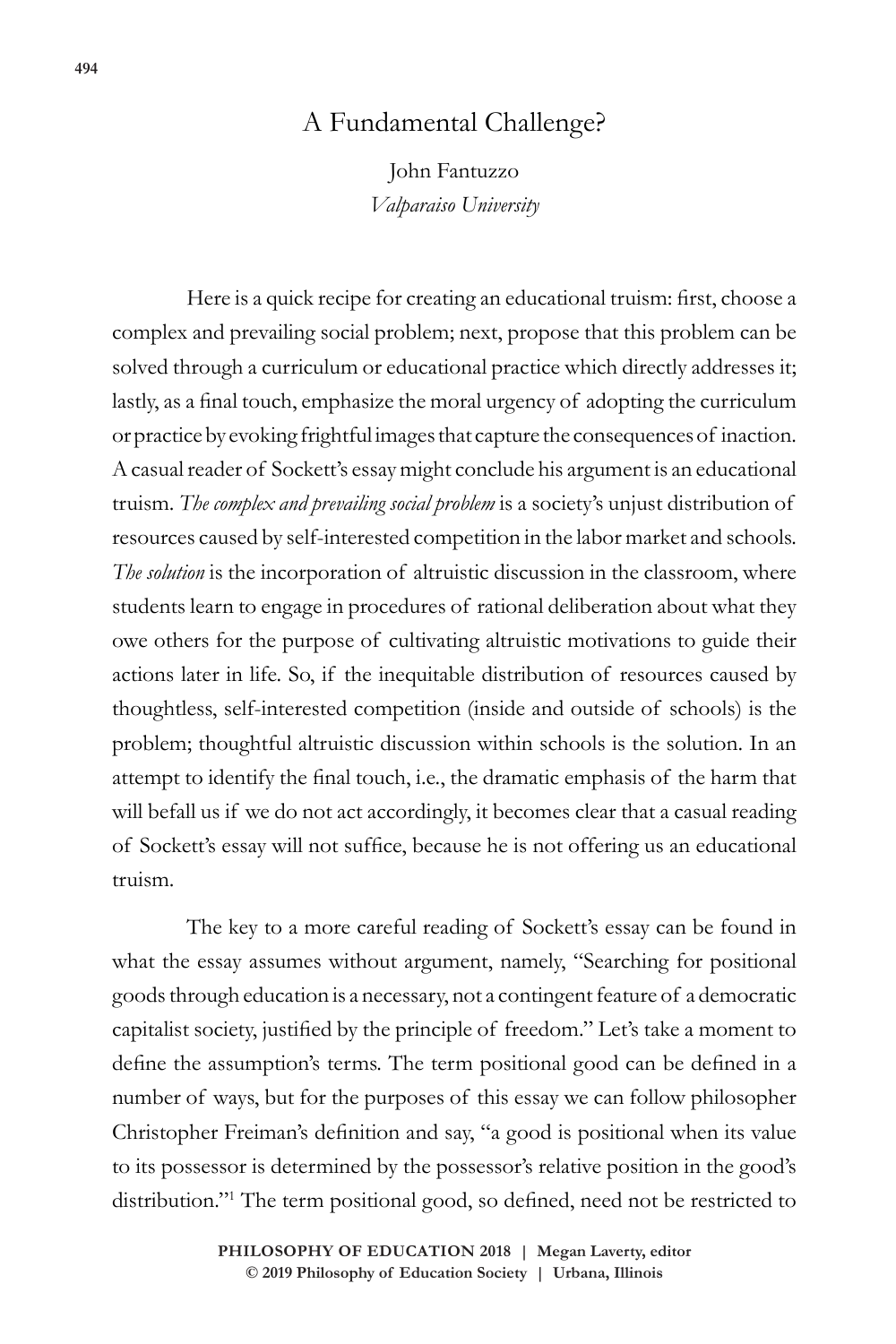## A Fundamental Challenge?

John Fantuzzo *Valparaiso University*

Here is a quick recipe for creating an educational truism: first, choose a complex and prevailing social problem; next, propose that this problem can be solved through a curriculum or educational practice which directly addresses it; lastly, as a final touch, emphasize the moral urgency of adopting the curriculum or practice by evoking frightful images that capture the consequences of inaction. A casual reader of Sockett's essay might conclude his argument is an educational truism. *The complex and prevailing social problem* is a society's unjust distribution of resources caused by self-interested competition in the labor market and schools. *The solution* is the incorporation of altruistic discussion in the classroom, where students learn to engage in procedures of rational deliberation about what they owe others for the purpose of cultivating altruistic motivations to guide their actions later in life. So, if the inequitable distribution of resources caused by thoughtless, self-interested competition (inside and outside of schools) is the problem; thoughtful altruistic discussion within schools is the solution. In an attempt to identify the final touch, i.e., the dramatic emphasis of the harm that will befall us if we do not act accordingly, it becomes clear that a casual reading of Sockett's essay will not suffice, because he is not offering us an educational truism.

The key to a more careful reading of Sockett's essay can be found in what the essay assumes without argument, namely, "Searching for positional goods through education is a necessary, not a contingent feature of a democratic capitalist society, justified by the principle of freedom." Let's take a moment to define the assumption's terms. The term positional good can be defined in a number of ways, but for the purposes of this essay we can follow philosopher Christopher Freiman's definition and say, "a good is positional when its value to its possessor is determined by the possessor's relative position in the good's distribution."<sup>1</sup> The term positional good, so defined, need not be restricted to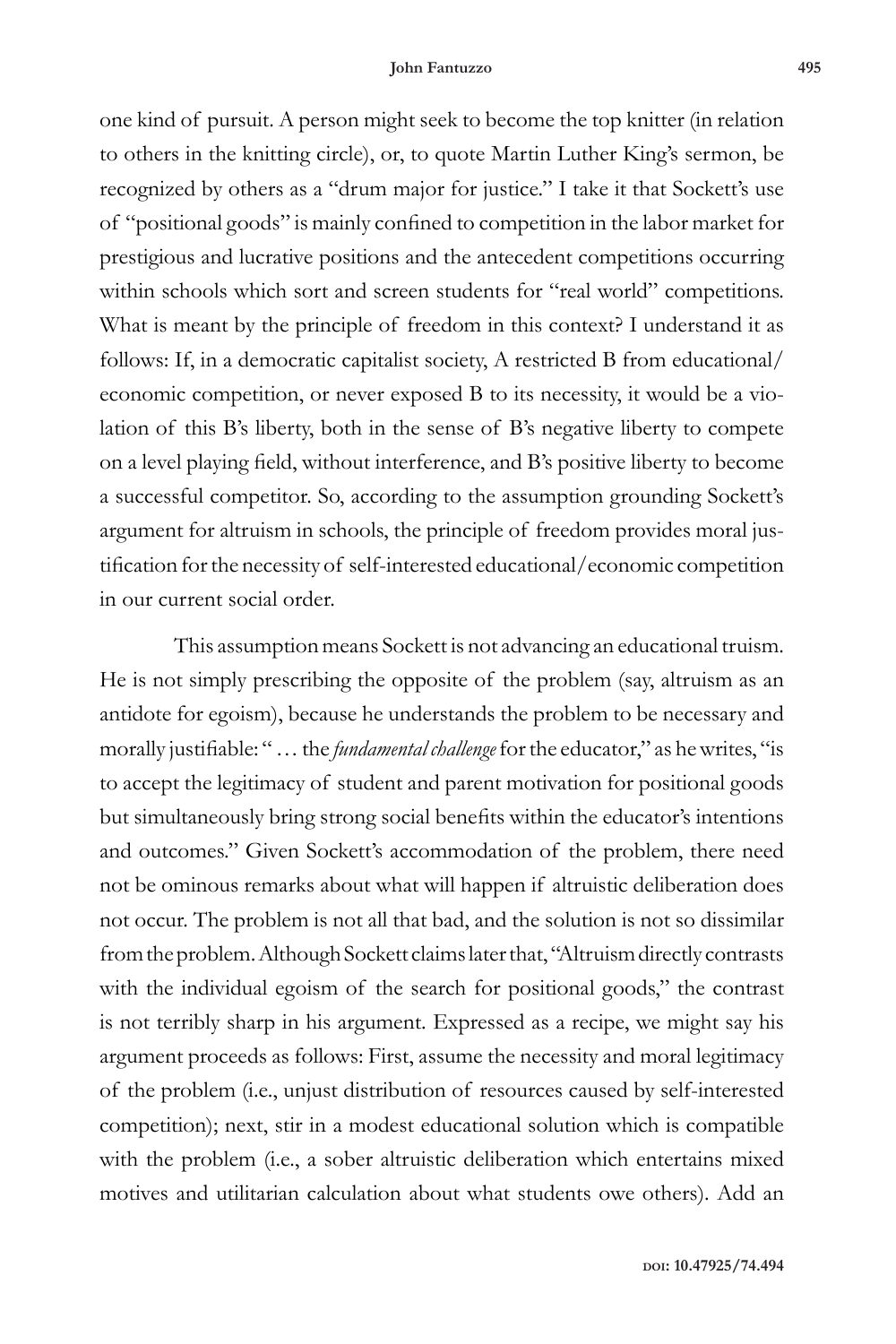one kind of pursuit. A person might seek to become the top knitter (in relation to others in the knitting circle), or, to quote Martin Luther King's sermon, be recognized by others as a "drum major for justice." I take it that Sockett's use of "positional goods" is mainly confined to competition in the labor market for prestigious and lucrative positions and the antecedent competitions occurring within schools which sort and screen students for "real world" competitions. What is meant by the principle of freedom in this context? I understand it as follows: If, in a democratic capitalist society, A restricted B from educational/ economic competition, or never exposed B to its necessity, it would be a violation of this B's liberty, both in the sense of B's negative liberty to compete on a level playing field, without interference, and B's positive liberty to become a successful competitor. So, according to the assumption grounding Sockett's argument for altruism in schools, the principle of freedom provides moral justification for the necessity of self-interested educational/economic competition in our current social order.

This assumption means Sockett is not advancing an educational truism. He is not simply prescribing the opposite of the problem (say, altruism as an antidote for egoism), because he understands the problem to be necessary and morally justifiable: " … the *fundamental challenge* for the educator," as he writes, "is to accept the legitimacy of student and parent motivation for positional goods but simultaneously bring strong social benefits within the educator's intentions and outcomes." Given Sockett's accommodation of the problem, there need not be ominous remarks about what will happen if altruistic deliberation does not occur. The problem is not all that bad, and the solution is not so dissimilar from the problem. Although Sockett claims later that, "Altruism directly contrasts with the individual egoism of the search for positional goods," the contrast is not terribly sharp in his argument. Expressed as a recipe, we might say his argument proceeds as follows: First, assume the necessity and moral legitimacy of the problem (i.e., unjust distribution of resources caused by self-interested competition); next, stir in a modest educational solution which is compatible with the problem (i.e., a sober altruistic deliberation which entertains mixed motives and utilitarian calculation about what students owe others). Add an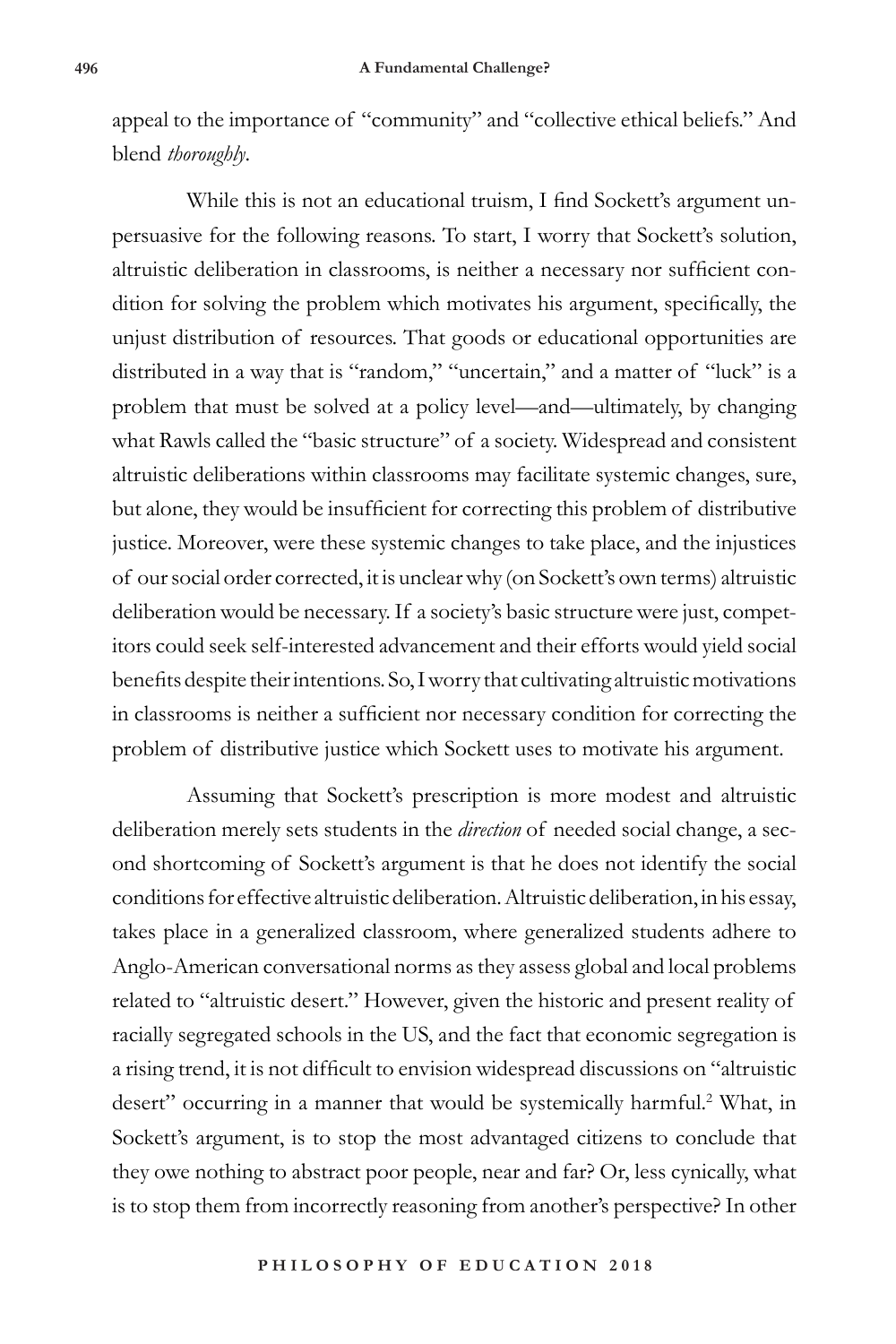appeal to the importance of "community" and "collective ethical beliefs." And blend *thoroughly*.

While this is not an educational truism, I find Sockett's argument unpersuasive for the following reasons. To start, I worry that Sockett's solution, altruistic deliberation in classrooms, is neither a necessary nor sufficient condition for solving the problem which motivates his argument, specifically, the unjust distribution of resources. That goods or educational opportunities are distributed in a way that is "random," "uncertain," and a matter of "luck" is a problem that must be solved at a policy level—and—ultimately, by changing what Rawls called the "basic structure" of a society. Widespread and consistent altruistic deliberations within classrooms may facilitate systemic changes, sure, but alone, they would be insufficient for correcting this problem of distributive justice. Moreover, were these systemic changes to take place, and the injustices of our social order corrected, it is unclear why (on Sockett's own terms) altruistic deliberation would be necessary. If a society's basic structure were just, competitors could seek self-interested advancement and their efforts would yield social benefits despite their intentions. So, I worry that cultivating altruistic motivations in classrooms is neither a sufficient nor necessary condition for correcting the problem of distributive justice which Sockett uses to motivate his argument.

Assuming that Sockett's prescription is more modest and altruistic deliberation merely sets students in the *direction* of needed social change, a second shortcoming of Sockett's argument is that he does not identify the social conditions for effective altruistic deliberation. Altruistic deliberation, in his essay, takes place in a generalized classroom, where generalized students adhere to Anglo-American conversational norms as they assess global and local problems related to "altruistic desert." However, given the historic and present reality of racially segregated schools in the US, and the fact that economic segregation is a rising trend, it is not difficult to envision widespread discussions on "altruistic desert" occurring in a manner that would be systemically harmful.<sup>2</sup> What, in Sockett's argument, is to stop the most advantaged citizens to conclude that they owe nothing to abstract poor people, near and far? Or, less cynically, what is to stop them from incorrectly reasoning from another's perspective? In other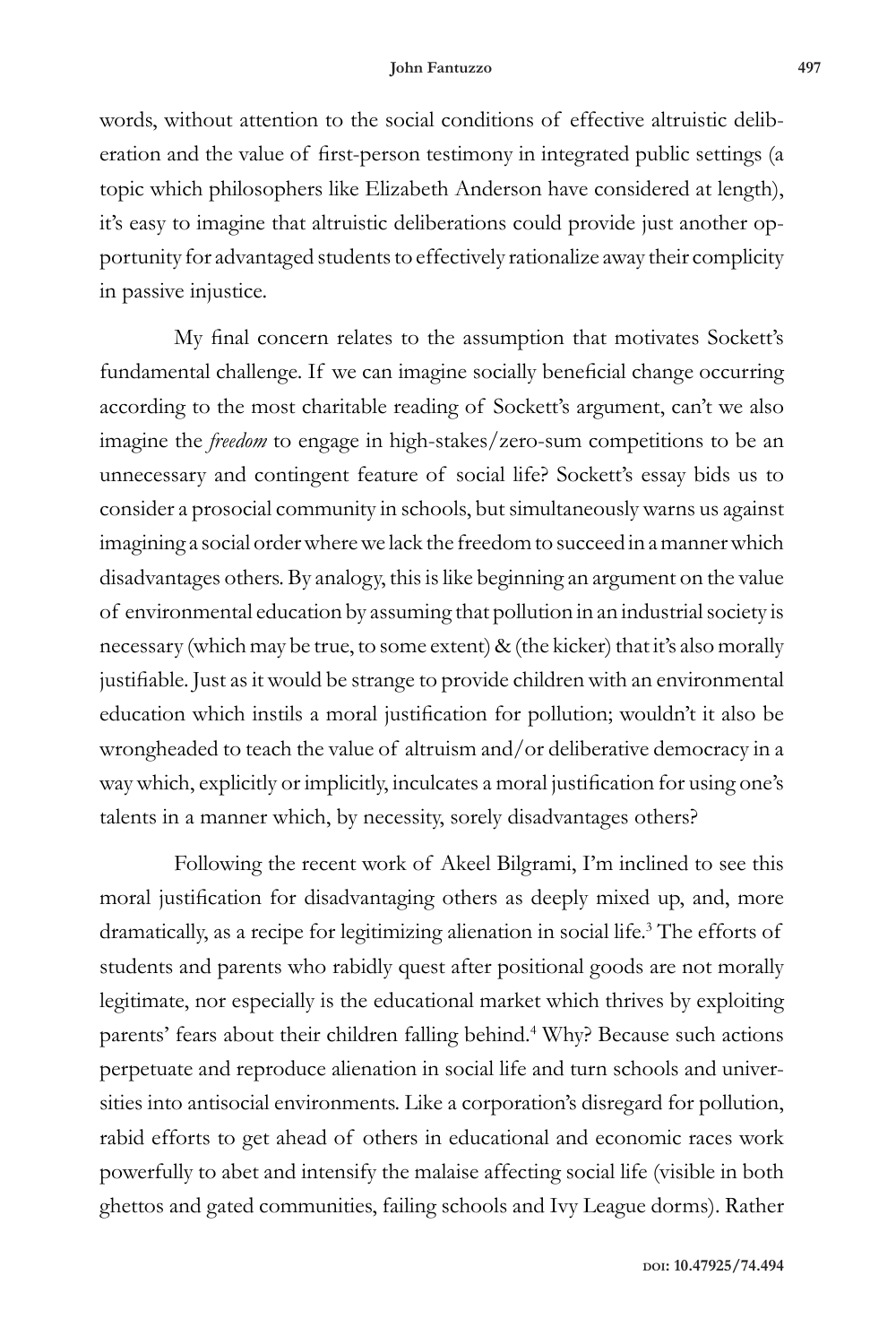words, without attention to the social conditions of effective altruistic deliberation and the value of first-person testimony in integrated public settings (a topic which philosophers like Elizabeth Anderson have considered at length), it's easy to imagine that altruistic deliberations could provide just another opportunity for advantaged students to effectively rationalize away their complicity in passive injustice.

My final concern relates to the assumption that motivates Sockett's fundamental challenge. If we can imagine socially beneficial change occurring according to the most charitable reading of Sockett's argument, can't we also imagine the *freedom* to engage in high-stakes/zero-sum competitions to be an unnecessary and contingent feature of social life? Sockett's essay bids us to consider a prosocial community in schools, but simultaneously warns us against imagining a social order where we lack the freedom to succeed in a manner which disadvantages others. By analogy, this is like beginning an argument on the value of environmental education by assuming that pollution in an industrial society is necessary (which may be true, to some extent) & (the kicker) that it's also morally justifiable. Just as it would be strange to provide children with an environmental education which instils a moral justification for pollution; wouldn't it also be wrongheaded to teach the value of altruism and/or deliberative democracy in a way which, explicitly or implicitly, inculcates a moral justification for using one's talents in a manner which, by necessity, sorely disadvantages others?

Following the recent work of Akeel Bilgrami, I'm inclined to see this moral justification for disadvantaging others as deeply mixed up, and, more dramatically, as a recipe for legitimizing alienation in social life.<sup>3</sup> The efforts of students and parents who rabidly quest after positional goods are not morally legitimate, nor especially is the educational market which thrives by exploiting parents' fears about their children falling behind.<sup>4</sup> Why? Because such actions perpetuate and reproduce alienation in social life and turn schools and universities into antisocial environments. Like a corporation's disregard for pollution, rabid efforts to get ahead of others in educational and economic races work powerfully to abet and intensify the malaise affecting social life (visible in both ghettos and gated communities, failing schools and Ivy League dorms). Rather